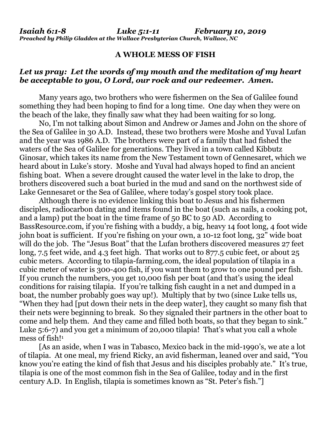## **A WHOLE MESS OF FISH**

## *Let us pray: Let the words of my mouth and the meditation of my heart be acceptable to you, O Lord, our rock and our redeemer. Amen.*

Many years ago, two brothers who were fishermen on the Sea of Galilee found something they had been hoping to find for a long time. One day when they were on the beach of the lake, they finally saw what they had been waiting for so long.

No, I'm not talking about Simon and Andrew or James and John on the shore of the Sea of Galilee in 30 A.D. Instead, these two brothers were Moshe and Yuval Lufan and the year was 1986 A.D. The brothers were part of a family that had fished the waters of the Sea of Galilee for generations. They lived in a town called Kibbutz Ginosar, which takes its name from the New Testament town of Gennesaret, which we heard about in Luke's story. Moshe and Yuval had always hoped to find an ancient fishing boat. When a severe drought caused the water level in the lake to drop, the brothers discovered such a boat buried in the mud and sand on the northwest side of Lake Gennesaret or the Sea of Galilee, where today's gospel story took place.

Although there is no evidence linking this boat to Jesus and his fishermen disciples, radiocarbon dating and items found in the boat (such as nails, a cooking pot, and a lamp) put the boat in the time frame of 50 BC to 50 AD. According to BassResource.com, if you're fishing with a buddy, a big, heavy 14 foot long, 4 foot wide john boat is sufficient. If you're fishing on your own, a 10-12 foot long, 32" wide boat will do the job. The "Jesus Boat" that the Lufan brothers discovered measures 27 feet long, 7.5 feet wide, and 4.3 feet high. That works out to 877.5 cubic feet, or about 25 cubic meters. According to tilapia-farming.com, the ideal population of tilapia in a cubic meter of water is 300-400 fish, if you want them to grow to one pound per fish. If you crunch the numbers, you get 10,000 fish per boat (and that's using the ideal conditions for raising tilapia. If you're talking fish caught in a net and dumped in a boat, the number probably goes way up!). Multiply that by two (since Luke tells us, "When they had [put down their nets in the deep water], they caught so many fish that their nets were beginning to break. So they signaled their partners in the other boat to come and help them. And they came and filled both boats, so that they began to sink." Luke 5:6-7) and you get a minimum of 20,000 tilapia! That's what you call a whole mess of fish!<sup>1</sup>

[As an aside, when I was in Tabasco, Mexico back in the mid-1990's, we ate a lot of tilapia. At one meal, my friend Ricky, an avid fisherman, leaned over and said, "You know you're eating the kind of fish that Jesus and his disciples probably ate." It's true, tilapia is one of the most common fish in the Sea of Galilee, today and in the first century A.D. In English, tilapia is sometimes known as "St. Peter's fish."]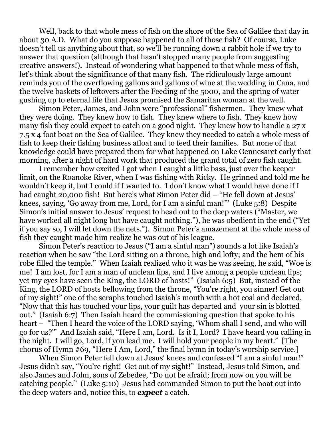Well, back to that whole mess of fish on the shore of the Sea of Galilee that day in about 30 A.D. What do you suppose happened to all of those fish? Of course, Luke doesn't tell us anything about that, so we'll be running down a rabbit hole if we try to answer that question (although that hasn't stopped many people from suggesting creative answers!). Instead of wondering what happened to that whole mess of fish, let's think about the significance of that many fish. The ridiculously large amount reminds you of the overflowing gallons and gallons of wine at the wedding in Cana, and the twelve baskets of leftovers after the Feeding of the 5000, and the spring of water gushing up to eternal life that Jesus promised the Samaritan woman at the well.

Simon Peter, James, and John were "professional" fishermen. They knew what they were doing. They knew how to fish. They knew where to fish. They knew how many fish they could expect to catch on a good night. They knew how to handle a 27 x 7.5 x 4 foot boat on the Sea of Galilee. They knew they needed to catch a whole mess of fish to keep their fishing business afloat and to feed their families. But none of that knowledge could have prepared them for what happened on Lake Gennesaret early that morning, after a night of hard work that produced the grand total of zero fish caught.

I remember how excited I got when I caught a little bass, just over the keeper limit, on the Roanoke River, when I was fishing with Ricky. He grinned and told me he wouldn't keep it, but I could if I wanted to. I don't know what I would have done if I had caught 20,000 fish! But here's what Simon Peter did – "He fell down at Jesus' knees, saying, 'Go away from me, Lord, for I am a sinful man!'" (Luke 5:8) Despite Simon's initial answer to Jesus' request to head out to the deep waters ("Master, we have worked all night long but have caught nothing."), he was obedient in the end ("Yet if you say so, I will let down the nets."). Simon Peter's amazement at the whole mess of fish they caught made him realize he was out of his league.

Simon Peter's reaction to Jesus ("I am a sinful man") sounds a lot like Isaiah's reaction when he saw "the Lord sitting on a throne, high and lofty; and the hem of his robe filled the temple." When Isaiah realized who it was he was seeing, he said, "Woe is me! I am lost, for I am a man of unclean lips, and I live among a people unclean lips; yet my eyes have seen the King, the LORD of hosts!" (Isaiah 6:5) But, instead of the King, the LORD of hosts bellowing from the throne, "You're right, you sinner! Get out of my sight!" one of the seraphs touched Isaiah's mouth with a hot coal and declared, "Now that this has touched your lips, your guilt has departed and your sin is blotted out." (Isaiah 6:7) Then Isaiah heard the commissioning question that spoke to his heart – "Then I heard the voice of the LORD saying, 'Whom shall I send, and who will go for us?'" And Isaiah said, "Here I am, Lord. Is it I, Lord? I have heard you calling in the night. I will go, Lord, if you lead me. I will hold your people in my heart." [The chorus of Hymn #69, "Here I Am, Lord," the final hymn in today's worship service.]

When Simon Peter fell down at Jesus' knees and confessed "I am a sinful man!" Jesus didn't say, "You're right! Get out of my sight!" Instead, Jesus told Simon, and also James and John, sons of Zebedee, "Do not be afraid; from now on you will be catching people." (Luke 5:10) Jesus had commanded Simon to put the boat out into the deep waters and, notice this, to *expect* a catch.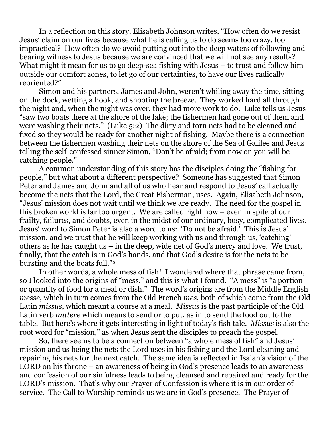In a reflection on this story, Elisabeth Johnson writes, "How often do we resist Jesus' claim on our lives because what he is calling us to do seems too crazy, too impractical? How often do we avoid putting out into the deep waters of following and bearing witness to Jesus because we are convinced that we will not see any results? What might it mean for us to go deep-sea fishing with Jesus – to trust and follow him outside our comfort zones, to let go of our certainties, to have our lives radically reoriented?"

Simon and his partners, James and John, weren't whiling away the time, sitting on the dock, wetting a hook, and shooting the breeze. They worked hard all through the night and, when the night was over, they had more work to do. Luke tells us Jesus "saw two boats there at the shore of the lake; the fishermen had gone out of them and were washing their nets." (Luke 5:2) The dirty and torn nets had to be cleaned and fixed so they would be ready for another night of fishing. Maybe there is a connection between the fishermen washing their nets on the shore of the Sea of Galilee and Jesus telling the self-confessed sinner Simon, "Don't be afraid; from now on you will be catching people."

A common understanding of this story has the disciples doing the "fishing for people," but what about a different perspective? Someone has suggested that Simon Peter and James and John and all of us who hear and respond to Jesus' call actually become the nets that the Lord, the Great Fisherman, uses. Again, Elisabeth Johnson, "Jesus' mission does not wait until we think we are ready. The need for the gospel in this broken world is far too urgent. We are called right now – even in spite of our frailty, failures, and doubts, even in the midst of our ordinary, busy, complicated lives. Jesus' word to Simon Peter is also a word to us: 'Do not be afraid.' This is Jesus' mission, and we trust that he will keep working with us and through us, 'catching' others as he has caught us – in the deep, wide net of God's mercy and love. We trust, finally, that the catch is in God's hands, and that God's desire is for the nets to be bursting and the boats full."<sup>2</sup>

In other words, a whole mess of fish! I wondered where that phrase came from, so I looked into the origins of "mess," and this is what I found. "A mess" is "a portion or quantity of food for a meal or dish." The word's origins are from the Middle English *messe*, which in turn comes from the Old French *mes*, both of which come from the Old Latin *missus*, which meant a course at a meal. *Missus* is the past participle of the Old Latin verb *mittere* which means to send or to put, as in to send the food out to the table. But here's where it gets interesting in light of today's fish tale. *Missus* is also the root word for "mission," as when Jesus sent the disciples to preach the gospel.

So, there seems to be a connection between "a whole mess of fish" and Jesus' mission and us being the nets the Lord uses in his fishing and the Lord cleaning and repairing his nets for the next catch. The same idea is reflected in Isaiah's vision of the LORD on his throne – an awareness of being in God's presence leads to an awareness and confession of our sinfulness leads to being cleansed and repaired and ready for the LORD's mission. That's why our Prayer of Confession is where it is in our order of service. The Call to Worship reminds us we are in God's presence. The Prayer of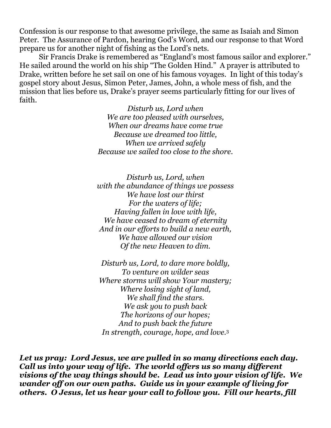Confession is our response to that awesome privilege, the same as Isaiah and Simon Peter. The Assurance of Pardon, hearing God's Word, and our response to that Word prepare us for another night of fishing as the Lord's nets.

Sir Francis Drake is remembered as "England's most famous sailor and explorer." He sailed around the world on his ship "The Golden Hind." A prayer is attributed to Drake, written before he set sail on one of his famous voyages. In light of this today's gospel story about Jesus, Simon Peter, James, John, a whole mess of fish, and the mission that lies before us, Drake's prayer seems particularly fitting for our lives of faith.

> *Disturb us, Lord when We are too pleased with ourselves, When our dreams have come true Because we dreamed too little, When we arrived safely Because we sailed too close to the shore.*

> *Disturb us, Lord, when with the abundance of things we possess We have lost our thirst For the waters of life; Having fallen in love with life, We have ceased to dream of eternity And in our efforts to build a new earth, We have allowed our vision Of the new Heaven to dim.*

*Disturb us, Lord, to dare more boldly, To venture on wilder seas Where storms will show Your mastery; Where losing sight of land, We shall find the stars. We ask you to push back The horizons of our hopes; And to push back the future In strength, courage, hope, and love.*<sup>3</sup>

*Let us pray: Lord Jesus, we are pulled in so many directions each day. Call us into your way of life. The world offers us so many different visions of the way things should be. Lead us into your vision of life. We wander off on our own paths. Guide us in your example of living for others. O Jesus, let us hear your call to follow you. Fill our hearts, fill*